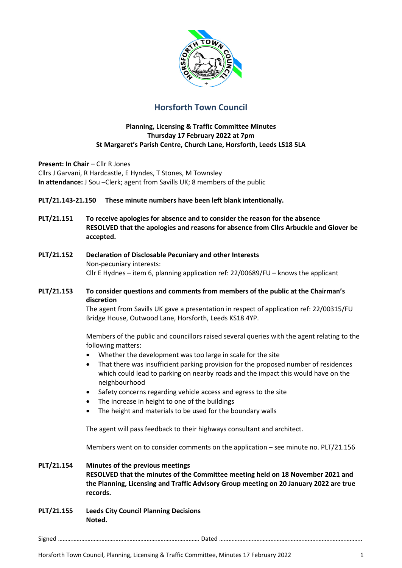

# **Horsforth Town Council**

## **Planning, Licensing & Traffic Committee Minutes Thursday 17 February 2022 at 7pm St Margaret's Parish Centre, Church Lane, Horsforth, Leeds LS18 5LA**

**Present: In Chair - Cllr R Jones** Cllrs J Garvani, R Hardcastle, E Hyndes, T Stones, M Townsley **In attendance:** J Sou –Clerk; agent from Savills UK; 8 members of the public

- **PLT/21.143-21.150 These minute numbers have been left blank intentionally.**
- **PLT/21.151 To receive apologies for absence and to consider the reason for the absence RESOLVED that the apologies and reasons for absence from Cllrs Arbuckle and Glover be accepted.**
- **PLT/21.152 Declaration of Disclosable Pecuniary and other Interests** Non-pecuniary interests: Cllr E Hydnes – item 6, planning application ref: 22/00689/FU – knows the applicant

## **PLT/21.153 To consider questions and comments from members of the public at the Chairman's discretion**

The agent from Savills UK gave a presentation in respect of application ref: 22/00315/FU Bridge House, Outwood Lane, Horsforth, Leeds KS18 4YP.

Members of the public and councillors raised several queries with the agent relating to the following matters:

- Whether the development was too large in scale for the site
- That there was insufficient parking provision for the proposed number of residences which could lead to parking on nearby roads and the impact this would have on the neighbourhood
- Safety concerns regarding vehicle access and egress to the site
- The increase in height to one of the buildings
- The height and materials to be used for the boundary walls

The agent will pass feedback to their highways consultant and architect.

Members went on to consider comments on the application – see minute no. PLT/21.156

#### **PLT/21.154 Minutes of the previous meetings**

**RESOLVED that the minutes of the Committee meeting held on 18 November 2021 and the Planning, Licensing and Traffic Advisory Group meeting on 20 January 2022 are true records.** 

**PLT/21.155 Leeds City Council Planning Decisions Noted.**

Signed ………………………………………………………………………………. Dated ………………………………………………………………………………..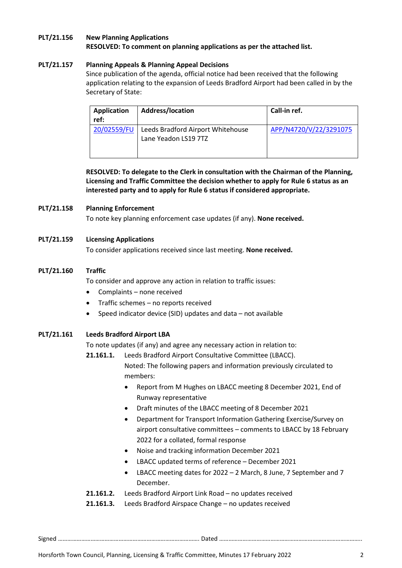#### **PLT/21.156 New Planning Applications RESOLVED: To comment on planning applications as per the attached list.**

## **PLT/21.157 Planning Appeals & Planning Appeal Decisions**

Since publication of the agenda, official notice had been received that the following application relating to the expansion of Leeds Bradford Airport had been called in by the Secretary of State:

| <b>Application</b><br>ref: | <b>Address/location</b>                                   | Call-in ref.           |
|----------------------------|-----------------------------------------------------------|------------------------|
| 20/02559/FU                | Leeds Bradford Airport Whitehouse<br>Lane Yeadon LS19 7TZ | APP/N4720/V/22/3291075 |

**RESOLVED: To delegate to the Clerk in consultation with the Chairman of the Planning, Licensing and Traffic Committee the decision whether to apply for Rule 6 status as an interested party and to apply for Rule 6 status if considered appropriate.** 

#### **PLT/21.158 Planning Enforcement**

To note key planning enforcement case updates (if any). **None received.** 

#### **PLT/21.159 Licensing Applications**

To consider applications received since last meeting. **None received.** 

#### **PLT/21.160 Traffic**

To consider and approve any action in relation to traffic issues:

- Complaints none received
- Traffic schemes no reports received
- Speed indicator device (SID) updates and data not available

## **PLT/21.161 Leeds Bradford Airport LBA**

To note updates (if any) and agree any necessary action in relation to:

**21.161.1.** Leeds Bradford Airport Consultative Committee (LBACC).

Noted: The following papers and information previously circulated to members:

- Report from M Hughes on LBACC meeting 8 December 2021, End of Runway representative
- Draft minutes of the LBACC meeting of 8 December 2021
- Department for Transport Information Gathering Exercise/Survey on airport consultative committees – comments to LBACC by 18 February 2022 for a collated, formal response
- Noise and tracking information December 2021
- LBACC updated terms of reference December 2021
- LBACC meeting dates for 2022 2 March, 8 June, 7 September and 7 December.
- **21.161.2.** Leeds Bradford Airport Link Road no updates received
- **21.161.3.** Leeds Bradford Airspace Change no updates received

Signed ………………………………………………………………………………. Dated ………………………………………………………………………………..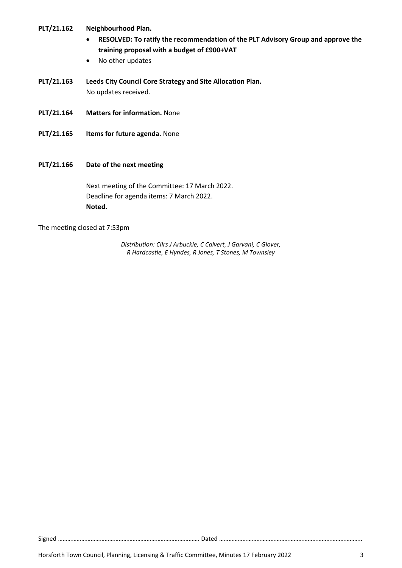## **PLT/21.162 Neighbourhood Plan.**

- **RESOLVED: To ratify the recommendation of the PLT Advisory Group and approve the training proposal with a budget of £900+VAT**
- No other updates
- **PLT/21.163 Leeds City Council Core Strategy and Site Allocation Plan.**  No updates received.
- **PLT/21.164 Matters for information.** None
- **PLT/21.165 Items for future agenda.** None
- **PLT/21.166 Date of the next meeting**

Next meeting of the Committee: 17 March 2022. Deadline for agenda items: 7 March 2022. **Noted.** 

The meeting closed at 7:53pm

*Distribution: Cllrs J Arbuckle, C Calvert, J Garvani, C Glover, R Hardcastle, E Hyndes, R Jones, T Stones, M Townsley*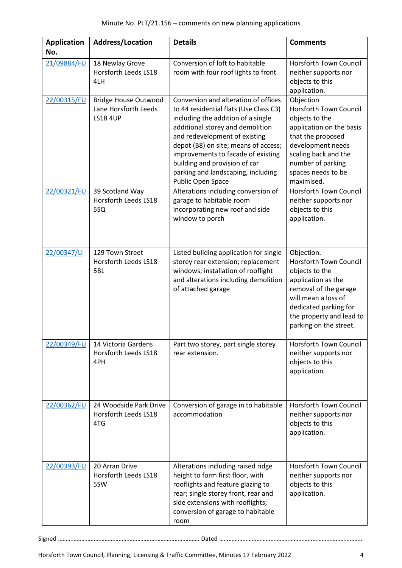| <b>Application</b> | <b>Address/Location</b>                                                | <b>Details</b>                                                                                                                                                                                                                                                                                                                                                      | <b>Comments</b>                                                                                                                                                                                              |
|--------------------|------------------------------------------------------------------------|---------------------------------------------------------------------------------------------------------------------------------------------------------------------------------------------------------------------------------------------------------------------------------------------------------------------------------------------------------------------|--------------------------------------------------------------------------------------------------------------------------------------------------------------------------------------------------------------|
| No.                |                                                                        |                                                                                                                                                                                                                                                                                                                                                                     |                                                                                                                                                                                                              |
| 21/09884/FU        | 18 Newlay Grove<br><b>Horsforth Leeds LS18</b><br>4LH                  | Conversion of loft to habitable<br>room with four roof lights to front                                                                                                                                                                                                                                                                                              | Horsforth Town Council<br>neither supports nor<br>objects to this<br>application.                                                                                                                            |
| 22/00315/FU        | <b>Bridge House Outwood</b><br>Lane Horsforth Leeds<br><b>LS18 4UP</b> | Conversion and alteration of offices<br>to 44 residential flats (Use Class C3)<br>including the addition of a single<br>additional storey and demolition<br>and redevelopment of existing<br>depot (B8) on site; means of access;<br>improvements to facade of existing<br>building and provision of car<br>parking and landscaping, including<br>Public Open Space | Objection<br>Horsforth Town Council<br>objects to the<br>application on the basis<br>that the proposed<br>development needs<br>scaling back and the<br>number of parking<br>spaces needs to be<br>maximised. |
| 22/00321/FU        | 39 Scotland Way<br>Horsforth Leeds LS18<br>5SQ                         | Alterations including conversion of<br>garage to habitable room<br>incorporating new roof and side<br>window to porch                                                                                                                                                                                                                                               | <b>Horsforth Town Council</b><br>neither supports nor<br>objects to this<br>application.                                                                                                                     |
| 22/00347/LI        | 129 Town Street<br>Horsforth Leeds LS18<br>5BL                         | Listed building application for single<br>storey rear extension; replacement<br>windows; installation of rooflight<br>and alterations including demolition<br>of attached garage                                                                                                                                                                                    | Objection.<br>Horsforth Town Council<br>objects to the<br>application as the<br>removal of the garage<br>will mean a loss of<br>dedicated parking for<br>the property and lead to<br>parking on the street.  |
| 22/00349/FU        | 14 Victoria Gardens<br>Horsforth Leeds LS18<br>4PH                     | Part two storey, part single storey<br>rear extension.                                                                                                                                                                                                                                                                                                              | Horsforth Town Council<br>neither supports nor<br>objects to this<br>application.                                                                                                                            |
| 22/00362/FU        | 24 Woodside Park Drive<br>Horsforth Leeds LS18<br>4TG                  | Conversion of garage in to habitable<br>accommodation                                                                                                                                                                                                                                                                                                               | Horsforth Town Council<br>neither supports nor<br>objects to this<br>application.                                                                                                                            |
| 22/00393/FU        | 20 Arran Drive<br>Horsforth Leeds LS18<br>5SW                          | Alterations including raised ridge<br>height to form first floor, with<br>rooflights and feature glazing to<br>rear; single storey front, rear and<br>side extensions with rooflights;<br>conversion of garage to habitable<br>room                                                                                                                                 | Horsforth Town Council<br>neither supports nor<br>objects to this<br>application.                                                                                                                            |

Signed ………………………………………………………………………………. Dated ………………………………………………………………………………..